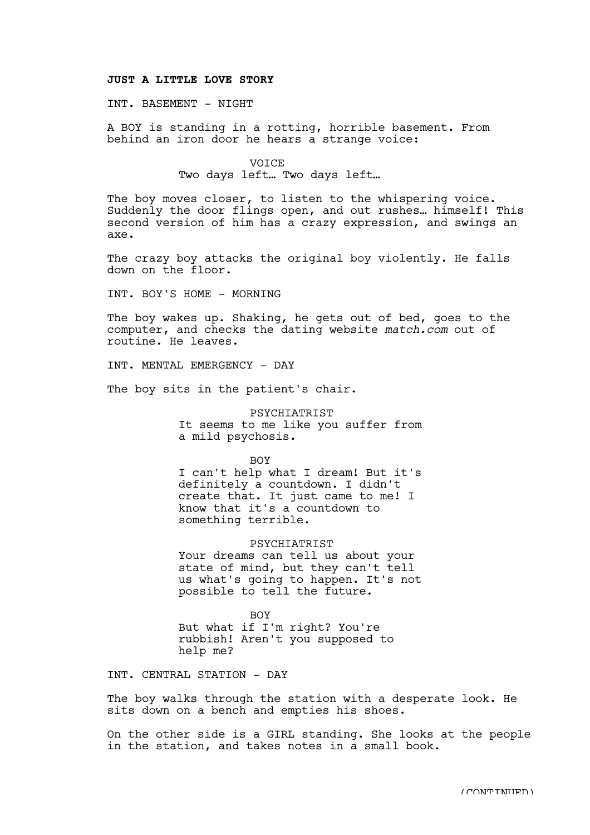## **JUST A LITTLE LOVE STORY**

## INT. BASEMENT - NIGHT

A BOY is standing in a rotting, horrible basement. From behind an iron door he hears a strange voice:

## **VOICE** Two days left… Two days left…

The boy moves closer, to listen to the whispering voice. Suddenly the door flings open, and out rushes… himself! This second version of him has a crazy expression, and swings an axe.

The crazy boy attacks the original boy violently. He falls down on the floor.

INT. BOY'S HOME - MORNING

The boy wakes up. Shaking, he gets out of bed, goes to the computer, and checks the dating website *match.com* out of routine. He leaves.

INT. MENTAL EMERGENCY - DAY

The boy sits in the patient's chair.

PSYCHIATRIST It seems to me like you suffer from a mild psychosis.

BOY I can't help what I dream! But it's definitely a countdown. I didn't create that. It just came to me! I know that it's a countdown to something terrible.

PSYCHIATRIST Your dreams can tell us about your state of mind, but they can't tell us what's going to happen. It's not possible to tell the future.

**BOY** But what if I'm right? You're rubbish! Aren't you supposed to help me?

INT. CENTRAL STATION - DAY

The boy walks through the station with a desperate look. He sits down on a bench and empties his shoes.

On the other side is a GIRL standing. She looks at the people in the station, and takes notes in a small book.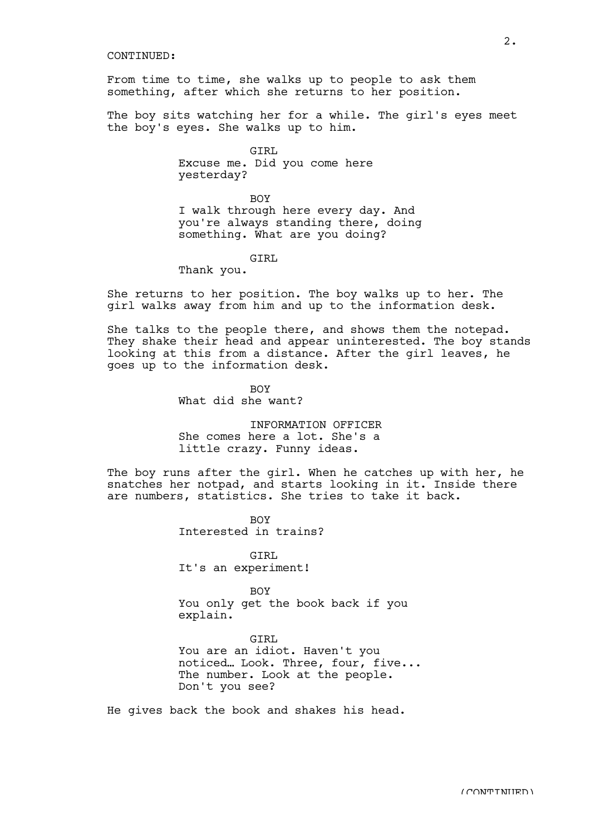## CONTINUED:

From time to time, she walks up to people to ask them something, after which she returns to her position.

The boy sits watching her for a while. The girl's eyes meet the boy's eyes. She walks up to him.

> GIRL Excuse me. Did you come here yesterday?

**BOY** I walk through here every day. And you're always standing there, doing something. What are you doing?

GIRL

Thank you.

She returns to her position. The boy walks up to her. The girl walks away from him and up to the information desk.

She talks to the people there, and shows them the notepad. They shake their head and appear uninterested. The boy stands looking at this from a distance. After the girl leaves, he goes up to the information desk.

> **BOY** What did she want?

INFORMATION OFFICER She comes here a lot. She's a little crazy. Funny ideas.

The boy runs after the girl. When he catches up with her, he snatches her notpad, and starts looking in it. Inside there are numbers, statistics. She tries to take it back.

> BOY Interested in trains?

GIRL It's an experiment!

BOY You only get the book back if you explain.

GTRT. You are an idiot. Haven't you noticed… Look. Three, four, five... The number. Look at the people. Don't you see?

He gives back the book and shakes his head.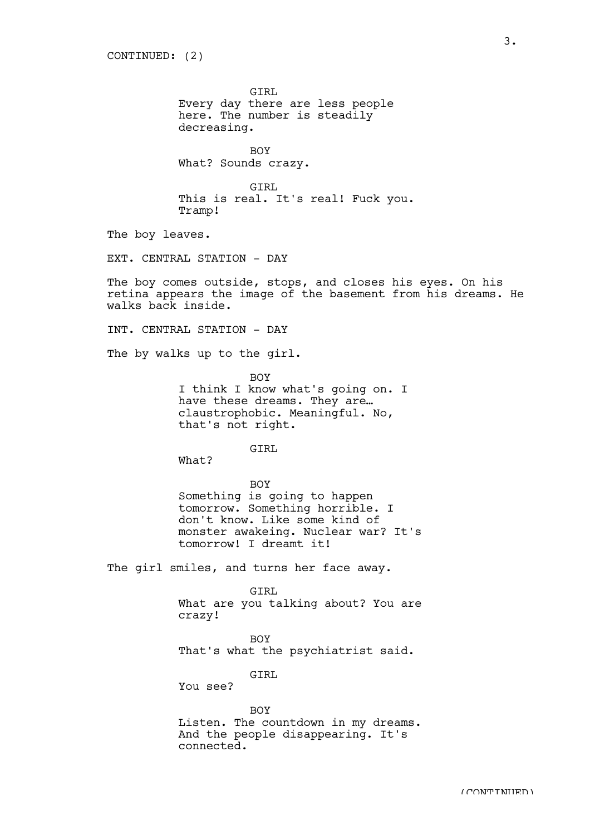GIRL Every day there are less people here. The number is steadily decreasing.

**BOY** What? Sounds crazy.

GIRL This is real. It's real! Fuck you. Tramp!

The boy leaves.

EXT. CENTRAL STATION - DAY

The boy comes outside, stops, and closes his eyes. On his retina appears the image of the basement from his dreams. He walks back inside.

INT. CENTRAL STATION - DAY

The by walks up to the girl.

BOY I think I know what's going on. I have these dreams. They are… claustrophobic. Meaningful. No, that's not right.

GIRL

What?

BOY Something is going to happen tomorrow. Something horrible. I don't know. Like some kind of monster awakeing. Nuclear war? It's tomorrow! I dreamt it!

The girl smiles, and turns her face away.

GIRL What are you talking about? You are crazy!

**BOY** 

That's what the psychiatrist said.

GTRL

You see?

BOY Listen. The countdown in my dreams. And the people disappearing. It's connected.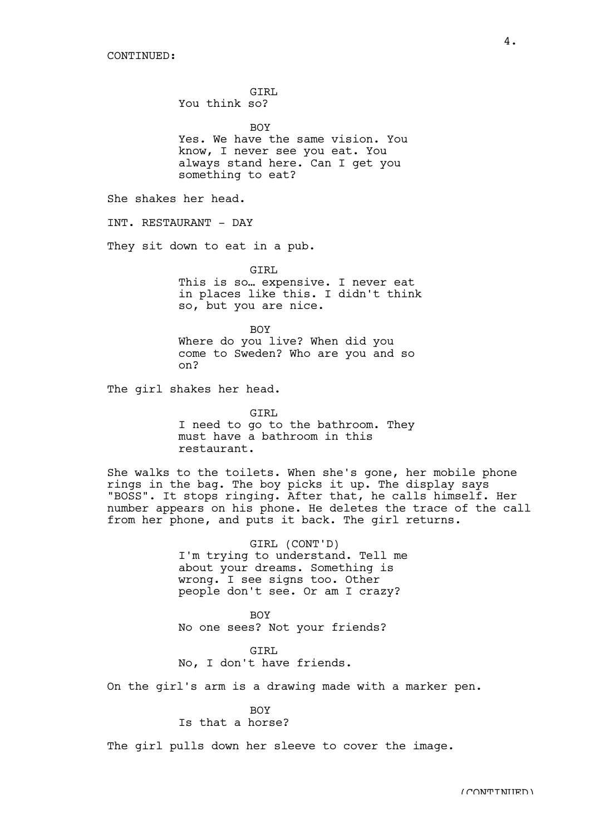GIRL You think so?

**BOY** Yes. We have the same vision. You know, I never see you eat. You always stand here. Can I get you something to eat?

She shakes her head.

INT. RESTAURANT - DAY

They sit down to eat in a pub.

GIRL This is so… expensive. I never eat in places like this. I didn't think so, but you are nice.

BOY Where do you live? When did you come to Sweden? Who are you and so on?

The girl shakes her head.

GIRL I need to go to the bathroom. They must have a bathroom in this restaurant.

She walks to the toilets. When she's gone, her mobile phone rings in the bag. The boy picks it up. The display says "BOSS". It stops ringing. After that, he calls himself. Her number appears on his phone. He deletes the trace of the call from her phone, and puts it back. The girl returns.

> GIRL (CONT'D) I'm trying to understand. Tell me about your dreams. Something is wrong. I see signs too. Other people don't see. Or am I crazy?

BOY No one sees? Not your friends?

GIRL No, I don't have friends.

On the girl's arm is a drawing made with a marker pen.

BOY

Is that a horse?

The girl pulls down her sleeve to cover the image.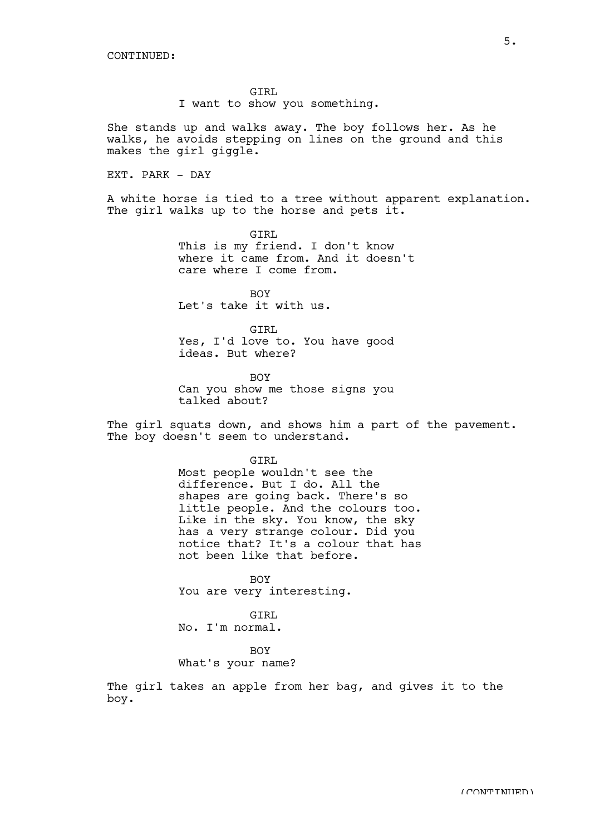GIRL I want to show you something.

She stands up and walks away. The boy follows her. As he walks, he avoids stepping on lines on the ground and this makes the girl giggle.

EXT. PARK - DAY

A white horse is tied to a tree without apparent explanation. The girl walks up to the horse and pets it.

> GIRL This is my friend. I don't know where it came from. And it doesn't care where I come from.

**BOY** Let's take it with us.

GIRL Yes, I'd love to. You have good ideas. But where?

BOY Can you show me those signs you talked about?

The girl squats down, and shows him a part of the pavement. The boy doesn't seem to understand.

> GIRL Most people wouldn't see the difference. But I do. All the shapes are going back. There's so little people. And the colours too. Like in the sky. You know, the sky has a very strange colour. Did you notice that? It's a colour that has not been like that before.

BOY You are very interesting.

GTRT.

No. I'm normal.

BOY

What's your name?

The girl takes an apple from her bag, and gives it to the boy.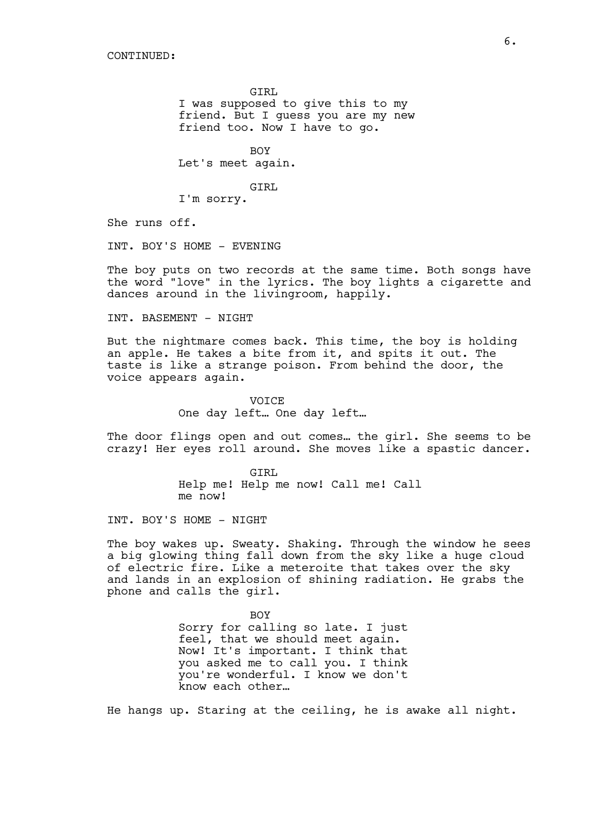GIRL I was supposed to give this to my friend. But I guess you are my new friend too. Now I have to go.

BOY Let's meet again.

GIRL

I'm sorry.

She runs off.

INT. BOY'S HOME - EVENING

The boy puts on two records at the same time. Both songs have the word "love" in the lyrics. The boy lights a cigarette and dances around in the livingroom, happily.

INT. BASEMENT - NIGHT

But the nightmare comes back. This time, the boy is holding an apple. He takes a bite from it, and spits it out. The taste is like a strange poison. From behind the door, the voice appears again.

> VOICE One day left… One day left…

The door flings open and out comes… the girl. She seems to be crazy! Her eyes roll around. She moves like a spastic dancer.

> GIRL Help me! Help me now! Call me! Call me now!

INT. BOY'S HOME - NIGHT

The boy wakes up. Sweaty. Shaking. Through the window he sees a big glowing thing fall down from the sky like a huge cloud of electric fire. Like a meteroite that takes over the sky and lands in an explosion of shining radiation. He grabs the phone and calls the girl.

> BOY Sorry for calling so late. I just feel, that we should meet again. Now! It's important. I think that you asked me to call you. I think you're wonderful. I know we don't know each other…

He hangs up. Staring at the ceiling, he is awake all night.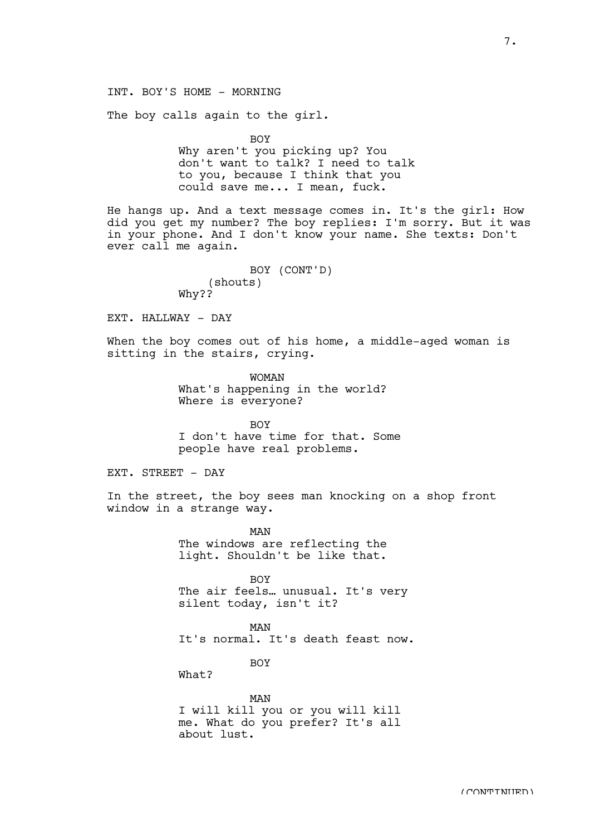The boy calls again to the girl.

BOY

Why aren't you picking up? You don't want to talk? I need to talk to you, because I think that you could save me... I mean, fuck.

He hangs up. And a text message comes in. It's the girl: How did you get my number? The boy replies: I'm sorry. But it was in your phone. And I don't know your name. She texts: Don't ever call me again.

> BOY (CONT'D) (shouts) Why??

EXT. HALLWAY - DAY

When the boy comes out of his home, a middle-aged woman is sitting in the stairs, crying.

> WOMAN What's happening in the world? Where is everyone?

**BOY** I don't have time for that. Some people have real problems.

EXT. STREET - DAY

In the street, the boy sees man knocking on a shop front window in a strange way.

> MAN The windows are reflecting the light. Shouldn't be like that.

BOY The air feels… unusual. It's very silent today, isn't it?

MAN It's normal. It's death feast now.

BOY

 $What?$ 

MAN

I will kill you or you will kill me. What do you prefer? It's all about lust.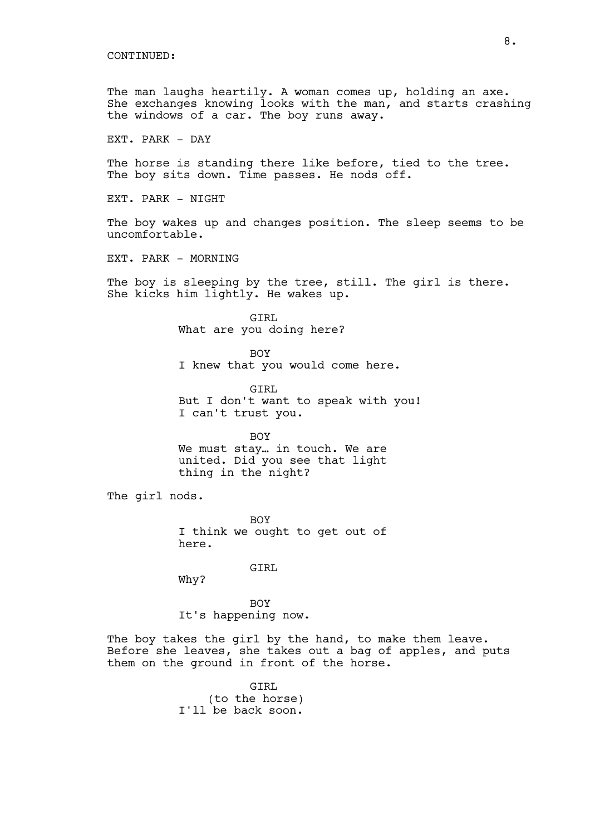The man laughs heartily. A woman comes up, holding an axe. She exchanges knowing looks with the man, and starts crashing the windows of a car. The boy runs away.

EXT. PARK - DAY

The horse is standing there like before, tied to the tree. The boy sits down. Time passes. He nods off.

EXT. PARK - NIGHT

The boy wakes up and changes position. The sleep seems to be uncomfortable.

EXT. PARK - MORNING

The boy is sleeping by the tree, still. The girl is there. She kicks him lightly. He wakes up.

> GIRL What are you doing here?

BOY I knew that you would come here.

GIRL But I don't want to speak with you! I can't trust you.

BOY

We must stay… in touch. We are united. Did you see that light thing in the night?

The girl nods.

BOY I think we ought to get out of here.

GIRL

Why?

BOY It's happening now.

The boy takes the girl by the hand, to make them leave. Before she leaves, she takes out a bag of apples, and puts them on the ground in front of the horse.

> GIRL (to the horse) I'll be back soon.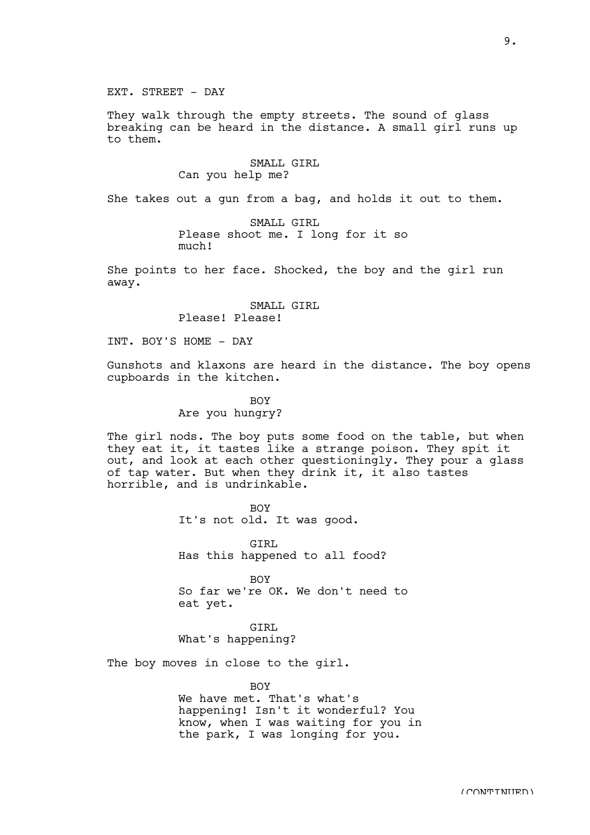EXT. STREET - DAY

They walk through the empty streets. The sound of glass breaking can be heard in the distance. A small girl runs up to them.

> SMALL GIRL Can you help me?

She takes out a gun from a bag, and holds it out to them.

SMALL GIRL Please shoot me. I long for it so much!

She points to her face. Shocked, the boy and the girl run away.

> SMALL GIRL Please! Please!

INT. BOY'S HOME - DAY

Gunshots and klaxons are heard in the distance. The boy opens cupboards in the kitchen.

> BOY Are you hungry?

The girl nods. The boy puts some food on the table, but when they eat it, it tastes like a strange poison. They spit it out, and look at each other questioningly. They pour a glass of tap water. But when they drink it, it also tastes horrible, and is undrinkable.

> **BOY** It's not old. It was good.

GTRL Has this happened to all food?

**BOY** So far we're OK. We don't need to eat yet.

GTRT. What's happening?

The boy moves in close to the girl.

**BOY** We have met. That's what's happening! Isn't it wonderful? You know, when I was waiting for you in the park, I was longing for you.